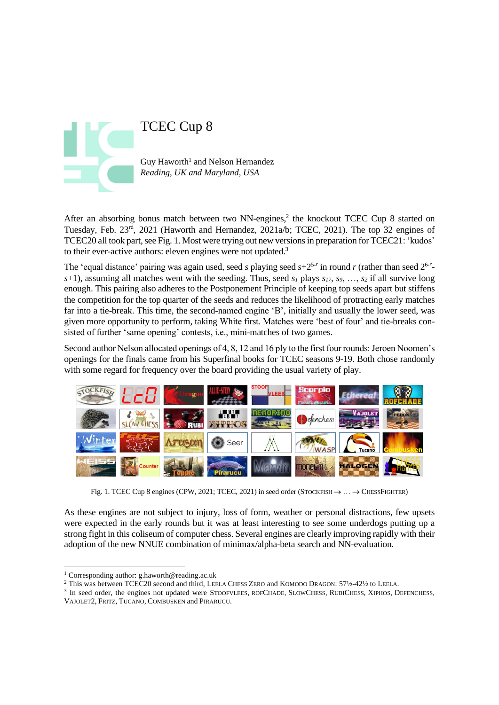

After an absorbing bonus match between two NN-engines, 2 the knockout TCEC Cup 8 started on Tuesday, Feb. 23<sup>rd</sup>, 2021 (Haworth and Hernandez, 2021a/b; TCEC, 2021). The top 32 engines of TCEC20 all took part, see Fig. 1. Most were trying out new versionsin preparation for TCEC21: 'kudos' to their ever-active authors: eleven engines were not updated.<sup>3</sup>

The 'equal distance' pairing was again used, seed *s* playing seed  $s+2^{5-r}$  in round *r* (rather than seed  $2^{6-r}$ *s*+1), assuming all matches went with the seeding. Thus, seed *s<sup>1</sup>* plays *s17*, *s9*, …, *s<sup>2</sup>* if all survive long enough. This pairing also adheres to the Postponement Principle of keeping top seeds apart but stiffens the competition for the top quarter of the seeds and reduces the likelihood of protracting early matches far into a tie-break. This time, the second-named engine 'B', initially and usually the lower seed, was given more opportunity to perform, taking White first. Matches were 'best of four' and tie-breaks consisted of further 'same opening' contests, i.e., mini-matches of two games.

Second author Nelson allocated openings of 4, 8, 12 and 16 ply to the first four rounds: Jeroen Noomen's openings for the finals came from his Superfinal books for TCEC seasons 9-19. Both chose randomly with some regard for frequency over the board providing the usual variety of play.



Fig. 1. TCEC Cup 8 engines (CPW, 2021; TCEC, 2021) in seed order (STOCKFISH  $\rightarrow \dots \rightarrow$  CHESSFIGHTER)

As these engines are not subject to injury, loss of form, weather or personal distractions, few upsets were expected in the early rounds but it was at least interesting to see some underdogs putting up a strong fight in this coliseum of computer chess. Several engines are clearly improving rapidly with their adoption of the new NNUE combination of minimax/alpha-beta search and NN-evaluation.

<sup>3</sup> In seed order, the engines not updated were STOOFVLEES, ROFCHADE, SLOWCHESS, RUBICHESS, XIPHOS, DEFENCHESS, VAJOLET2, FRITZ, TUCANO, COMBUSKEN and PIRARUCU.

<sup>1</sup> Corresponding author: g.haworth@reading.ac.uk

<sup>2</sup> This was between TCEC20 second and third, LEELA CHESS ZERO and KOMODO DRAGON: 57½-42½ to LEELA.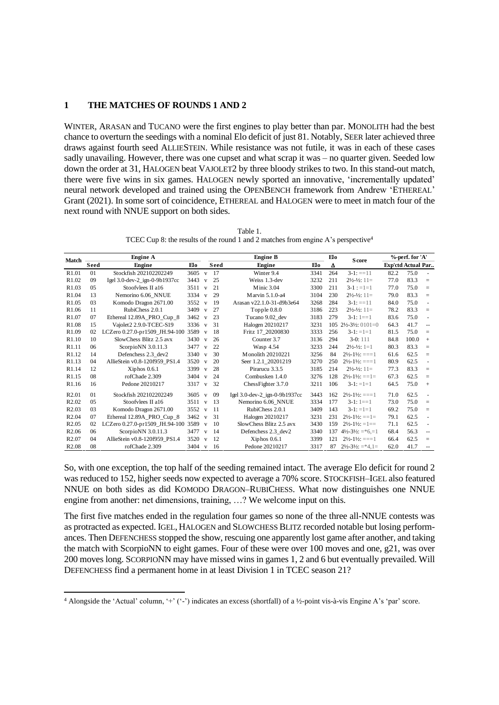## **1 THE MATCHES OF ROUNDS 1 AND 2**

WINTER, ARASAN and TUCANO were the first engines to play better than par. MONOLITH had the best chance to overturn the seedings with a nominal Elo deficit of just 81. Notably, SEER later achieved three draws against fourth seed ALLIESTEIN. While resistance was not futile, it was in each of these cases sadly unavailing. However, there was one cupset and what scrap it was – no quarter given. Seeded low down the order at 31, HALOGEN beat VAJOLET2 by three bloody strikes to two. In this stand-out match, there were five wins in six games. HALOGEN newly sported an innovative, 'incrementally updated' neural network developed and trained using the OPENBENCH framework from Andrew 'ETHEREAL' Grant (2021). In some sort of coincidence, ETHEREAL and HALOGEN were to meet in match four of the next round with NNUE support on both sides.

Table 1. TCEC Cup 8: the results of the round 1 and 2 matches from engine A's perspective<sup>4</sup>

| <b>Match</b>      | <b>Engine A</b> |                                |      |              |      | <b>Engine B</b>               | Elo  | <b>Score</b> | %-perf. for 'A'                          |                           |       |                |
|-------------------|-----------------|--------------------------------|------|--------------|------|-------------------------------|------|--------------|------------------------------------------|---------------------------|-------|----------------|
|                   | <b>Seed</b>     | Engine                         | Elo  |              | Seed | <b>Engine</b>                 | Elo  | Δ            |                                          | <b>Exp'ctd Actual Par</b> |       |                |
| R <sub>1.01</sub> | 01              | Stockfish 202102202249         | 3605 | $\mathbf{V}$ | 17   | Winter 9.4                    | 3341 | 264          | $3-1$ : ==11                             | 82.2                      | 75.0  | $\sim$         |
| R <sub>1.02</sub> | 09              | Igel 3.0-dev-2 ign-0-9b1937cc  | 3443 | $\mathbf{V}$ | 25   | Weiss 1.3-dev                 | 3232 | 211          | $2\frac{1}{2} - \frac{1}{2}$ : 1 =       | 77.0                      | 83.3  | $=$            |
| R1.03             | 05              | Stoofvlees II a16              | 3511 | $\mathbf{v}$ | 21   | Minic 3.04                    | 3300 | 211          | $3-1 := 1 = 1$                           | 77.0                      | 75.0  | $=$            |
| R <sub>1.04</sub> | 13              | Nemorino 6.06 NNUE             | 3334 | $\mathbf{v}$ | 29   | Marvin 5.1.0-a4               | 3104 | 230          | $2\frac{1}{2} - \frac{1}{2}$ : 11=       | 79.0                      | 83.3  | $=$            |
| R <sub>1.05</sub> | 03              | Komodo Dragon 2671.00          | 3552 | $\mathbf{V}$ | 19   | Arasan v22.1.0-31-d9b3e64     | 3268 | 284          | $3-1$ : ==11                             | 84.0                      | 75.0  | $\sim$         |
| R <sub>1.06</sub> | 11              | RubiChess 2.0.1                | 3409 | $\mathbf{v}$ | 27   | Topple 0.8.0                  | 3186 | 223          | $2\frac{1}{2} - \frac{1}{2}$ : 11=       | 78.2                      | 83.3  | $=$            |
| R <sub>1.07</sub> | 07              | Ethereal 12.89A_PRO_Cup_8      | 3462 | $\mathbf{v}$ | 23   | Tucano 9.02 dev               | 3183 | 279          | $3-1:1 == 1$                             | 83.6                      | 75.0  | ÷.             |
| R1.08             | 15              | Vajolet2 2.9.0-TCEC-S19        | 3336 | v            | 31   | Halogen 20210217              | 3231 | 105          | $2\frac{1}{2} - 3\frac{1}{2}$ : $0101=0$ | 64.3                      | 41.7  | $\overline{a}$ |
| R <sub>1.09</sub> | 02              | LCZero 0.27.0-pr1509_JH.94-100 | 3589 | v            | 18   | Fritz 17 20200830             | 3333 | 256          | $3-1$ : $=1=1$                           | 81.5                      | 75.0  | $=$            |
| R <sub>1.10</sub> | 10              | SlowChess Blitz 2.5 avx        | 3430 | v            | 26   | Counter 3.7                   | 3136 | 294          | $3-0:111$                                | 84.8                      | 100.0 | $+$            |
| R <sub>1.11</sub> | 06              | ScorpioNN 3.0.11.3             | 3477 | $\mathbf{v}$ | 22   | Wasp 4.54                     | 3233 | 244          | $2\frac{1}{2} - \frac{1}{2}$ : 1=1       | 80.3                      | 83.3  | $=$            |
| R <sub>1.12</sub> | 14              | Defenchess 2.3 dev2            | 3340 | v            | 30   | Monolith 20210221             | 3256 | 84           | $2\frac{1}{2}$ -1½: ===1                 | 61.6                      | 62.5  | $=$            |
| R1.13             | 04              | AllieStein v0.8-120f959 PS1.4  | 3520 | v            | 20   | Seer 1.2.1 20201219           | 3270 | 250          | $2\frac{1}{2}$ -1½: ===1                 | 80.9                      | 62.5  | $\sim$         |
| R <sub>1.14</sub> | 12              | $Xiphos$ 0.6.1                 | 3399 | V            | 28   | Pirarucu 3.3.5                | 3185 | 214          | $2\frac{1}{2} - \frac{1}{2}$ : 11=       | 77.3                      | 83.3  | $=$            |
| R <sub>1.15</sub> | 08              | rofChade 2.309                 | 3404 | $\mathbf{V}$ | 24   | Combusken 1.4.0               | 3276 | 128          | $2\frac{1}{2}$ -1½: ==1=                 | 67.3                      | 62.5  | $=$            |
| R <sub>1.16</sub> | 16              | Pedone 20210217                | 3317 | $\mathbf{V}$ | 32   | ChessFighter 3.7.0            | 3211 | 106          | $3-1$ : $=1=1$                           | 64.5                      | 75.0  | $^{+}$         |
| R <sub>2.01</sub> | 01              | Stockfish 202102202249         | 3605 | $\mathbf{v}$ | 09   | Igel 3.0-dev-2 ign-0-9b1937cc | 3443 | 162          | $2\frac{1}{2}$ -1 $\frac{1}{2}$ : ===1   | 71.0                      | 62.5  |                |
| R <sub>2.02</sub> | 05              | Stoofvlees II a16              | 3511 | V            | 13   | Nemorino 6.06 NNUE            | 3334 | 177          | $3-1:1 == 1$                             | 73.0                      | 75.0  | $=$            |
| R <sub>2.03</sub> | 03              | Komodo Dragon 2671.00          | 3552 | v            | 11   | RubiChess 2.0.1               | 3409 | 143          | $3-1$ : $=1=1$                           | 69.2                      | 75.0  | $=$            |
| R <sub>2.04</sub> | 07              | Ethereal 12.89A PRO Cup 8      | 3462 | $\mathbf{V}$ | 31   | Halogen 20210217              | 3231 | 231          | $2\frac{1}{2}$ -1½: ==1=                 | 79.1                      | 62.5  | ä,             |
| R <sub>2.05</sub> | 02              | LCZero 0.27.0-pr1509 JH.94-100 | 3589 | $\mathbf{v}$ | 10   | SlowChess Blitz 2.5 avx       | 3430 | 159          | $2\frac{1}{2}$ -1 $\frac{1}{2}$ : =1==   | 71.1                      | 62.5  | ÷.             |
| R <sub>2.06</sub> | 06              | ScorpioNN $3.0.11.3$           | 3477 | $\mathbf{V}$ | 14   | Defenchess 2.3 dev2           | 3340 | 137          | $4\frac{1}{2} - 3\frac{1}{2} = 6 = 1$    | 68.4                      | 56.3  | $\overline{a}$ |
| R <sub>2.07</sub> | 04              | AllieStein v0.8-120f959 PS1.4  | 3520 | $\mathbf{v}$ | 12   | $Xiphos$ 0.6.1                | 3399 | 121          | $2\frac{1}{2}$ -1 $\frac{1}{2}$ : ===1   | 66.4                      | 62.5  | $=$            |
| R <sub>2.08</sub> | 08              | rofChade 2.309                 | 3404 | v            | 16   | Pedone 20210217               | 3317 | 87           | $2\frac{1}{2} - 3\frac{1}{2} = 4.1$      | 62.0                      | 41.7  |                |

So, with one exception, the top half of the seeding remained intact. The average Elo deficit for round 2 was reduced to 152, higher seeds now expected to average a 70% score. STOCKFISH–IGEL also featured NNUE on both sides as did KOMODO DRAGON–RUBICHESS. What now distinguishes one NNUE engine from another: net dimensions, training, …? We welcome input on this.

The first five matches ended in the regulation four games so none of the three all-NNUE contests was as protracted as expected. IGEL, HALOGEN and SLOWCHESS BLITZ recorded notable but losing performances. Then DEFENCHESS stopped the show, rescuing one apparently lost game after another, and taking the match with ScorpioNN to eight games. Four of these were over 100 moves and one, g21, was over 200 moves long. SCORPIONN may have missed wins in games 1, 2 and 6 but eventually prevailed. Will DEFENCHESS find a permanent home in at least Division 1 in TCEC season 21?

<sup>&</sup>lt;sup>4</sup> Alongside the 'Actual' column, '+' ('-') indicates an excess (shortfall) of a ½-point vis-à-vis Engine A's 'par' score.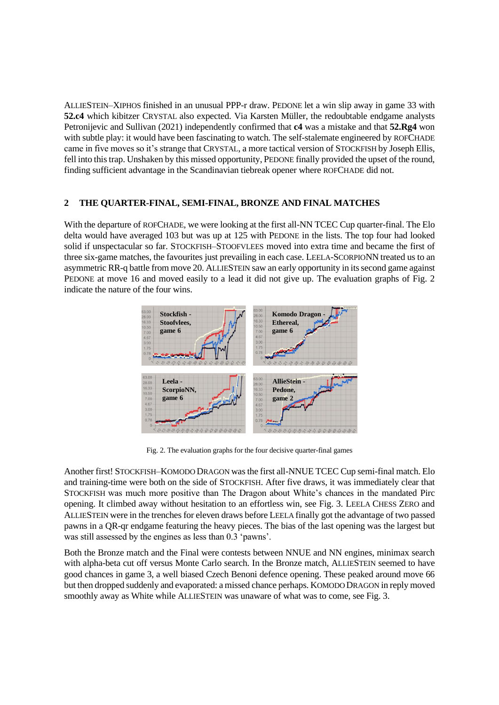ALLIESTEIN–XIPHOS finished in an unusual PPP-r draw. PEDONE let a win slip away in game 33 with **52.c4** which kibitzer CRYSTAL also expected. Via Karsten Müller, the redoubtable endgame analysts Petronijevic and Sullivan (2021) independently confirmed that **c4** was a mistake and that **52.Rg4** won with subtle play: it would have been fascinating to watch. The self-stalemate engineered by ROFCHADE came in five moves so it's strange that CRYSTAL, a more tactical version of STOCKFISH by Joseph Ellis, fell into this trap. Unshaken by this missed opportunity, PEDONE finally provided the upset of the round, finding sufficient advantage in the Scandinavian tiebreak opener where ROFCHADE did not.

## **2 THE QUARTER-FINAL, SEMI-FINAL, BRONZE AND FINAL MATCHES**

With the departure of ROFCHADE, we were looking at the first all-NN TCEC Cup quarter-final. The Elo delta would have averaged 103 but was up at 125 with PEDONE in the lists. The top four had looked solid if unspectacular so far. STOCKFISH–STOOFVLEES moved into extra time and became the first of three six-game matches, the favourites just prevailing in each case. LEELA-SCORPIONN treated us to an asymmetric RR-q battle from move 20. ALLIESTEIN saw an early opportunity in its second game against PEDONE at move 16 and moved easily to a lead it did not give up. The evaluation graphs of Fig. 2 indicate the nature of the four wins.



Fig. 2. The evaluation graphs for the four decisive quarter-final games

Another first! STOCKFISH–KOMODO DRAGON was the first all-NNUE TCEC Cup semi-final match. Elo and training-time were both on the side of STOCKFISH. After five draws, it was immediately clear that STOCKFISH was much more positive than The Dragon about White's chances in the mandated Pirc opening. It climbed away without hesitation to an effortless win, see Fig. 3. LEELA CHESS ZERO and ALLIESTEIN were in the trenches for eleven draws before LEELA finally got the advantage of two passed pawns in a QR-qr endgame featuring the heavy pieces. The bias of the last opening was the largest but was still assessed by the engines as less than 0.3 'pawns'.

Both the Bronze match and the Final were contests between NNUE and NN engines, minimax search with alpha-beta cut off versus Monte Carlo search. In the Bronze match, ALLIESTEIN seemed to have good chances in game 3, a well biased Czech Benoni defence opening. These peaked around move 66 but then dropped suddenly and evaporated: a missed chance perhaps. KOMODO DRAGON in reply moved smoothly away as White while ALLIESTEIN was unaware of what was to come, see Fig. 3.